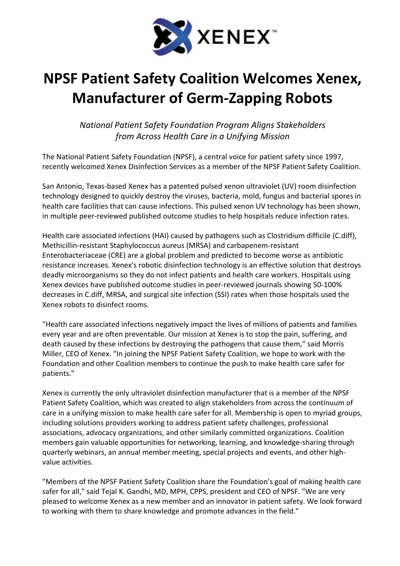

## NPSF Patient Safety Coalition Welcomes Xenex, Manufacturer of Germ-Zapping Robots

National Patient Safety Foundation Program Aligns Stakeholders from Across Health Care in a Unifying Mission

The National Patient Safety Foundation (NPSF), a central voice for patient safety since 1997, recently welcomed Xenex Disinfection Services as a member of the NPSF Patient Safety Coalition.

San Antonio, Texas-based Xenex has a patented pulsed xenon ultraviolet (UV) room disinfection technology designed to quickly destroy the viruses, bacteria, mold, fungus and bacterial spores in health care facilities that can cause infections. This pulsed xenon UV technology has been shown, in multiple peer-reviewed published outcome studies to help hospitals reduce infection rates.

Health care associated infections (HAI) caused by pathogens such as Clostridium difficile (C.diff), Methicillin-resistant Staphylococcus aureus (MRSA) and carbapenem-resistant Enterobacteriaceae (CRE) are a global problem and predicted to become worse as antibiotic resistance increases. Xenex's robotic disinfection technology is an effective solution that destroys deadly microorganisms so they do not infect patients and health care workers. Hospitals using Xenex devices have published outcome studies in peer-reviewed journals showing 50-100% decreases in C.diff, MRSA, and surgical site infection (SSI) rates when those hospitals used the Xenex robots to disinfect rooms.

"Health care associated infections negatively impact the lives of millions of patients and families every year and are often preventable. Our mission at Xenex is to stop the pain, suffering, and death caused by these infections by destroying the pathogens that cause them," said Morris Miller, CEO of Xenex. "In joining the NPSF Patient Safety Coalition, we hope to work with the Foundation and other Coalition members to continue the push to make health care safer for patients."

Xenex is currently the only ultraviolet disinfection manufacturer that is a member of the NPSF Patient Safety Coalition, which was created to align stakeholders from across the continuum of care in a unifying mission to make health care safer for all. Membership is open to myriad groups, including solutions providers working to address patient safety challenges, professional associations, advocacy organizations, and other similarly committed organizations. Coalition members gain valuable opportunities for networking, learning, and knowledge-sharing through quarterly webinars, an annual member meeting, special projects and events, and other highvalue activities.

"Members of the NPSF Patient Safety Coalition share the Foundation's goal of making health care safer for all," said Tejal K. Gandhi, MD, MPH, CPPS, president and CEO of NPSF. "We are very pleased to welcome Xenex as a new member and an innovator in patient safety. We look forward to working with them to share knowledge and promote advances in the field."